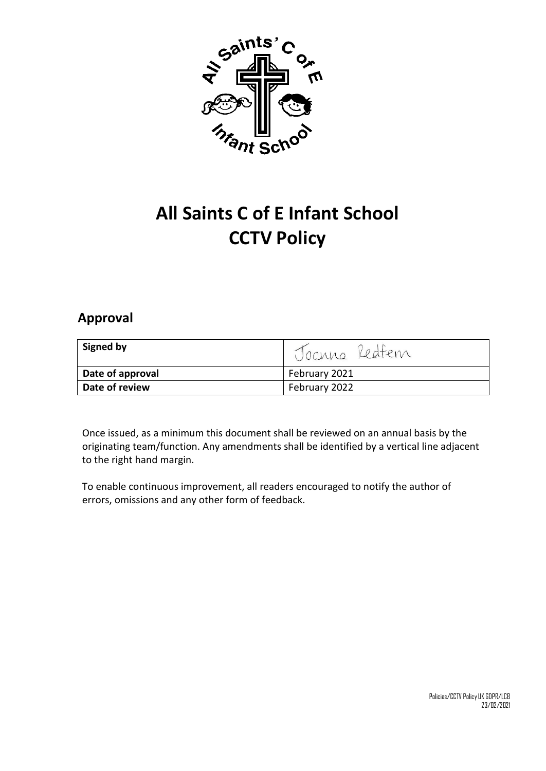

# **All Saints C of E Infant School CCTV Policy**

## **Approval**

| Signed by        | 1 Joanna Redfem |
|------------------|-----------------|
| Date of approval | February 2021   |
| Date of review   | February 2022   |

Once issued, as a minimum this document shall be reviewed on an annual basis by the originating team/function. Any amendments shall be identified by a vertical line adjacent to the right hand margin.

To enable continuous improvement, all readers encouraged to notify the author of errors, omissions and any other form of feedback.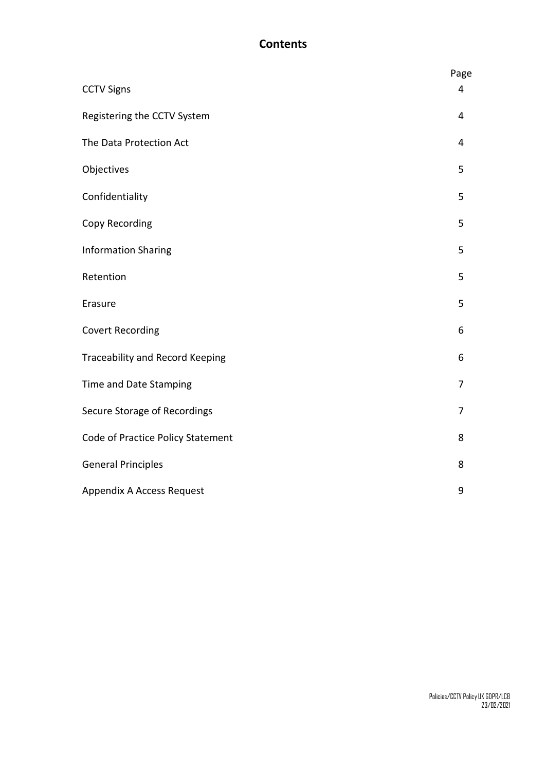### **Contents**

|                                   | Page           |
|-----------------------------------|----------------|
| <b>CCTV Signs</b>                 | 4              |
| Registering the CCTV System       | 4              |
| The Data Protection Act           | $\overline{4}$ |
| Objectives                        | 5              |
| Confidentiality                   | 5              |
| Copy Recording                    | 5              |
| <b>Information Sharing</b>        | 5              |
| Retention                         | 5              |
| Erasure                           | 5              |
| <b>Covert Recording</b>           | 6              |
| Traceability and Record Keeping   | 6              |
| Time and Date Stamping            | 7              |
| Secure Storage of Recordings      | $\overline{7}$ |
| Code of Practice Policy Statement | 8              |
| <b>General Principles</b>         | 8              |
| Appendix A Access Request         | 9              |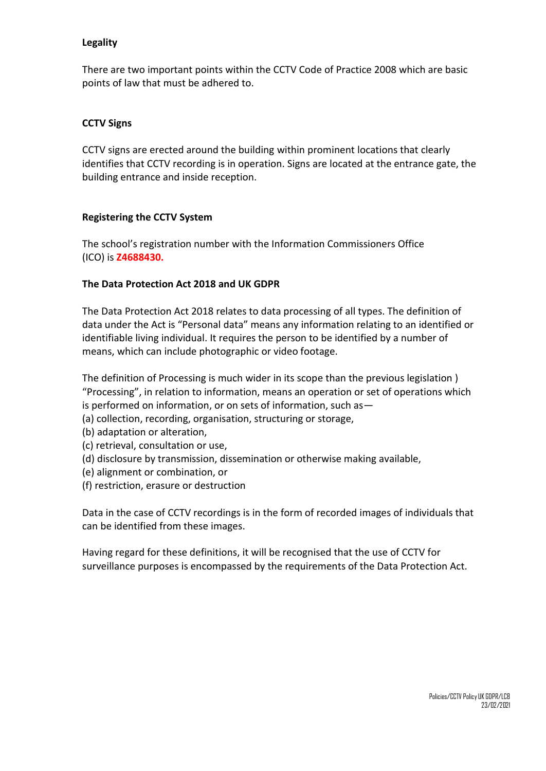#### **Legality**

There are two important points within the CCTV Code of Practice 2008 which are basic points of law that must be adhered to.

#### **CCTV Signs**

CCTV signs are erected around the building within prominent locations that clearly identifies that CCTV recording is in operation. Signs are located at the entrance gate, the building entrance and inside reception.

#### **Registering the CCTV System**

The school's registration number with the Information Commissioners Office (ICO) is **Z4688430.**

#### **The Data Protection Act 2018 and UK GDPR**

The Data Protection Act 2018 relates to data processing of all types. The definition of data under the Act is "Personal data" means any information relating to an identified or identifiable living individual. It requires the person to be identified by a number of means, which can include photographic or video footage.

The definition of Processing is much wider in its scope than the previous legislation ) "Processing", in relation to information, means an operation or set of operations which is performed on information, or on sets of information, such as—

- (a) collection, recording, organisation, structuring or storage,
- (b) adaptation or alteration,
- (c) retrieval, consultation or use,
- (d) disclosure by transmission, dissemination or otherwise making available,
- (e) alignment or combination, or
- (f) restriction, erasure or destruction

Data in the case of CCTV recordings is in the form of recorded images of individuals that can be identified from these images.

Having regard for these definitions, it will be recognised that the use of CCTV for surveillance purposes is encompassed by the requirements of the Data Protection Act.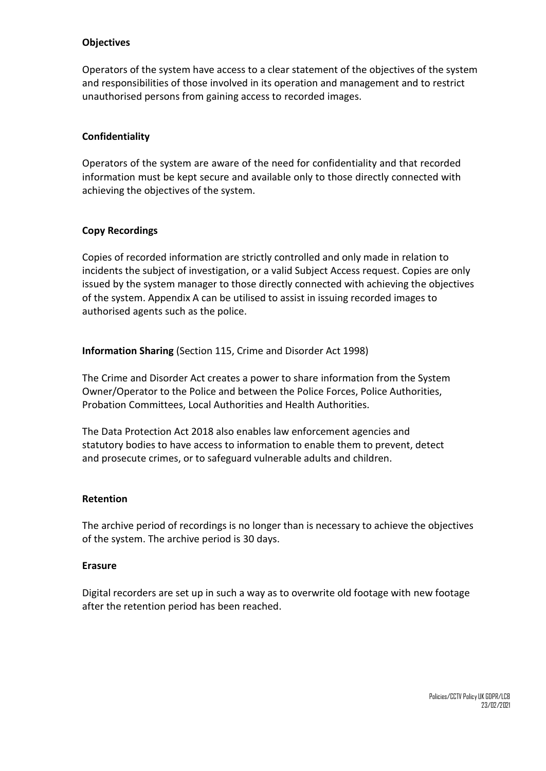#### **Objectives**

Operators of the system have access to a clear statement of the objectives of the system and responsibilities of those involved in its operation and management and to restrict unauthorised persons from gaining access to recorded images.

#### **Confidentiality**

Operators of the system are aware of the need for confidentiality and that recorded information must be kept secure and available only to those directly connected with achieving the objectives of the system.

#### **Copy Recordings**

Copies of recorded information are strictly controlled and only made in relation to incidents the subject of investigation, or a valid Subject Access request. Copies are only issued by the system manager to those directly connected with achieving the objectives of the system. Appendix A can be utilised to assist in issuing recorded images to authorised agents such as the police.

**Information Sharing** (Section 115, Crime and Disorder Act 1998)

The Crime and Disorder Act creates a power to share information from the System Owner/Operator to the Police and between the Police Forces, Police Authorities, Probation Committees, Local Authorities and Health Authorities.

The Data Protection Act 2018 also enables law enforcement agencies and statutory bodies to have access to information to enable them to prevent, detect and prosecute crimes, or to safeguard vulnerable adults and children.

#### **Retention**

The archive period of recordings is no longer than is necessary to achieve the objectives of the system. The archive period is 30 days.

#### **Erasure**

Digital recorders are set up in such a way as to overwrite old footage with new footage after the retention period has been reached.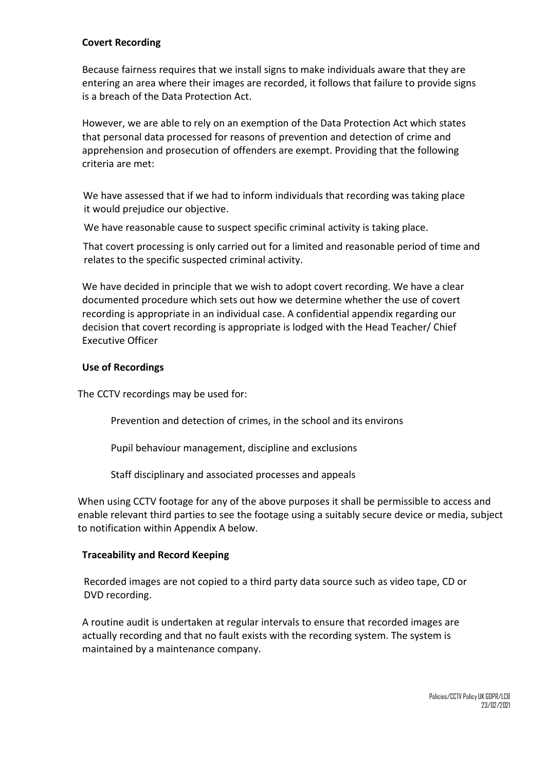#### **Covert Recording**

Because fairness requires that we install signs to make individuals aware that they are entering an area where their images are recorded, it follows that failure to provide signs is a breach of the Data Protection Act.

However, we are able to rely on an exemption of the Data Protection Act which states that personal data processed for reasons of prevention and detection of crime and apprehension and prosecution of offenders are exempt. Providing that the following criteria are met:

We have assessed that if we had to inform individuals that recording was taking place it would prejudice our objective.

We have reasonable cause to suspect specific criminal activity is taking place.

That covert processing is only carried out for a limited and reasonable period of time and relates to the specific suspected criminal activity.

We have decided in principle that we wish to adopt covert recording. We have a clear documented procedure which sets out how we determine whether the use of covert recording is appropriate in an individual case. A confidential appendix regarding our decision that covert recording is appropriate is lodged with the Head Teacher/ Chief Executive Officer

#### **Use of Recordings**

The CCTV recordings may be used for:

Prevention and detection of crimes, in the school and its environs

Pupil behaviour management, discipline and exclusions

Staff disciplinary and associated processes and appeals

When using CCTV footage for any of the above purposes it shall be permissible to access and enable relevant third parties to see the footage using a suitably secure device or media, subject to notification within Appendix A below.

#### **Traceability and Record Keeping**

Recorded images are not copied to a third party data source such as video tape, CD or DVD recording.

A routine audit is undertaken at regular intervals to ensure that recorded images are actually recording and that no fault exists with the recording system. The system is maintained by a maintenance company.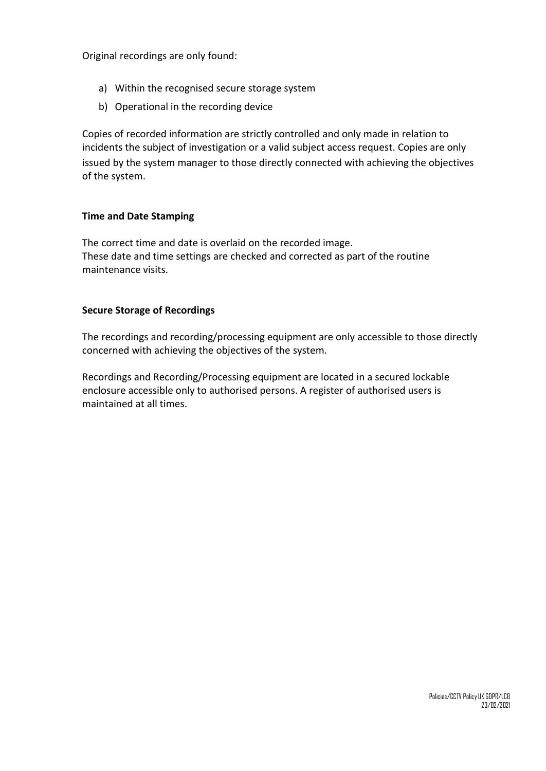Original recordings are only found:

- a) Within the recognised secure storage system
- b) Operational in the recording device

Copies of recorded information are strictly controlled and only made in relation to incidents the subject of investigation or a valid subject access request. Copies are only issued by the system manager to those directly connected with achieving the objectives of the system.

#### **Time and Date Stamping**

The correct time and date is overlaid on the recorded image. These date and time settings are checked and corrected as part of the routine maintenance visits.

#### **Secure Storage of Recordings**

The recordings and recording/processing equipment are only accessible to those directly concerned with achieving the objectives of the system.

Recordings and Recording/Processing equipment are located in a secured lockable enclosure accessible only to authorised persons. A register of authorised users is maintained at all times.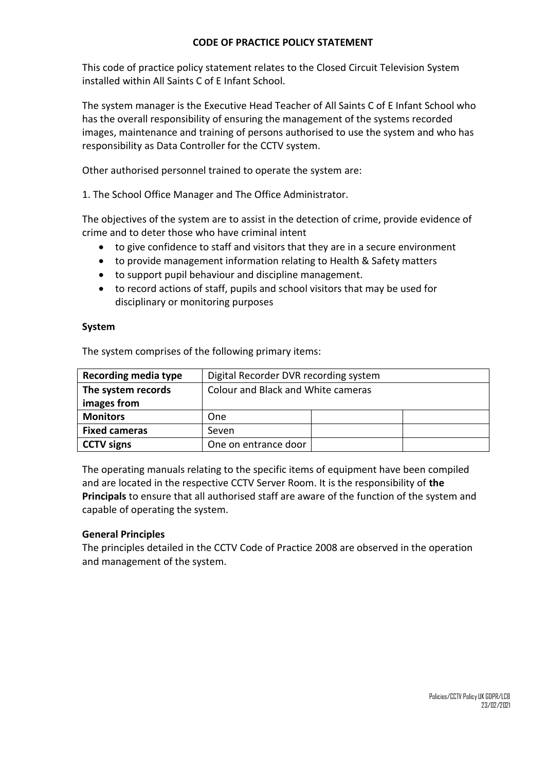#### **CODE OF PRACTICE POLICY STATEMENT**

This code of practice policy statement relates to the Closed Circuit Television System installed within All Saints C of E Infant School.

The system manager is the Executive Head Teacher of All Saints C of E Infant School who has the overall responsibility of ensuring the management of the systems recorded images, maintenance and training of persons authorised to use the system and who has responsibility as Data Controller for the CCTV system.

Other authorised personnel trained to operate the system are:

1. The School Office Manager and The Office Administrator.

The objectives of the system are to assist in the detection of crime, provide evidence of crime and to deter those who have criminal intent

- to give confidence to staff and visitors that they are in a secure environment
- to provide management information relating to Health & Safety matters
- to support pupil behaviour and discipline management.
- to record actions of staff, pupils and school visitors that may be used for disciplinary or monitoring purposes

#### **System**

The system comprises of the following primary items:

| <b>Recording media type</b> | Digital Recorder DVR recording system |  |  |
|-----------------------------|---------------------------------------|--|--|
| The system records          | Colour and Black and White cameras    |  |  |
| images from                 |                                       |  |  |
| <b>Monitors</b>             | One                                   |  |  |
| <b>Fixed cameras</b>        | Seven                                 |  |  |
| <b>CCTV</b> signs           | One on entrance door                  |  |  |

The operating manuals relating to the specific items of equipment have been compiled and are located in the respective CCTV Server Room. It is the responsibility of **the Principals** to ensure that all authorised staff are aware of the function of the system and capable of operating the system.

#### **General Principles**

The principles detailed in the CCTV Code of Practice 2008 are observed in the operation and management of the system.